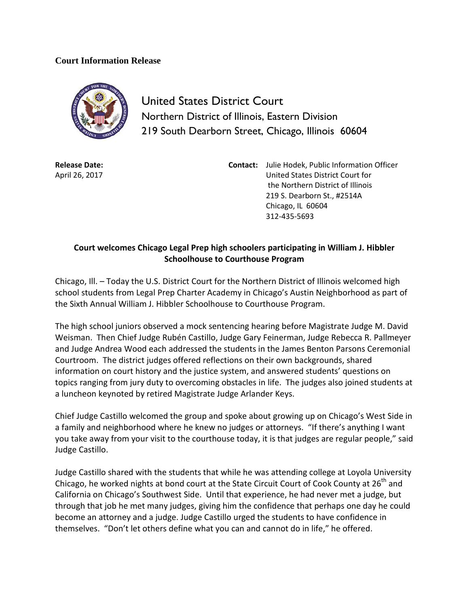## **Court Information Release**



United States District Court Northern District of Illinois, Eastern Division 219 South Dearborn Street, Chicago, Illinois 60604

**Release Date:** April 26, 2017 **Contact:** Julie Hodek, Public Information Officer United States District Court for the Northern District of Illinois 219 S. Dearborn St., #2514A Chicago, IL 60604 312-435-5693

## **Court welcomes Chicago Legal Prep high schoolers participating in William J. Hibbler Schoolhouse to Courthouse Program**

Chicago, Ill. – Today the U.S. District Court for the Northern District of Illinois welcomed high school students from Legal Prep Charter Academy in Chicago's Austin Neighborhood as part of the Sixth Annual William J. Hibbler Schoolhouse to Courthouse Program.

The high school juniors observed a mock sentencing hearing before Magistrate Judge M. David Weisman. Then Chief Judge Rubén Castillo, Judge Gary Feinerman, Judge Rebecca R. Pallmeyer and Judge Andrea Wood each addressed the students in the James Benton Parsons Ceremonial Courtroom. The district judges offered reflections on their own backgrounds, shared information on court history and the justice system, and answered students' questions on topics ranging from jury duty to overcoming obstacles in life. The judges also joined students at a luncheon keynoted by retired Magistrate Judge Arlander Keys.

Chief Judge Castillo welcomed the group and spoke about growing up on Chicago's West Side in a family and neighborhood where he knew no judges or attorneys. "If there's anything I want you take away from your visit to the courthouse today, it is that judges are regular people," said Judge Castillo.

Judge Castillo shared with the students that while he was attending college at Loyola University Chicago, he worked nights at bond court at the State Circuit Court of Cook County at 26<sup>th</sup> and California on Chicago's Southwest Side. Until that experience, he had never met a judge, but through that job he met many judges, giving him the confidence that perhaps one day he could become an attorney and a judge. Judge Castillo urged the students to have confidence in themselves. "Don't let others define what you can and cannot do in life," he offered.